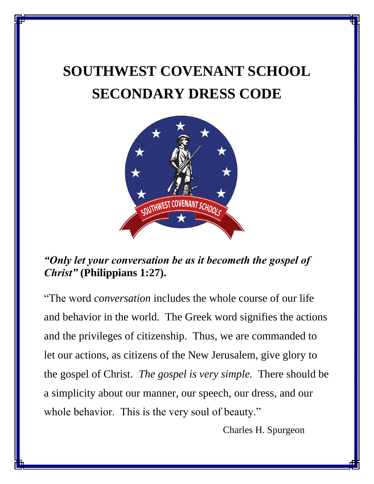# **SOUTHWEST COVENANT SCHOOL SECONDARY DRESS CODE**



## *"Only let your conversation be as it becometh the gospel of Christ"* **(Philippians 1:27).**

"The word *conversation* includes the whole course of our life and behavior in the world. The Greek word signifies the actions and the privileges of citizenship. Thus, we are commanded to let our actions, as citizens of the New Jerusalem, give glory to the gospel of Christ. *The gospel is very simple.* There should be a simplicity about our manner, our speech, our dress, and our whole behavior. This is the very soul of beauty."

Charles H. Spurgeon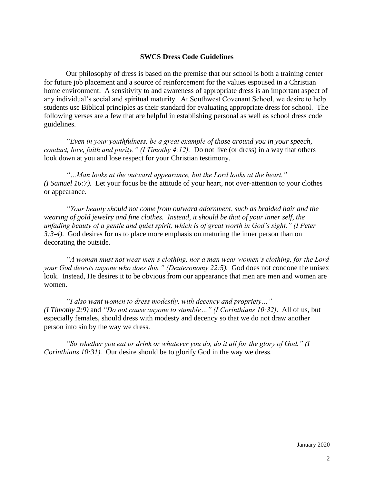#### **SWCS Dress Code Guidelines**

Our philosophy of dress is based on the premise that our school is both a training center for future job placement and a source of reinforcement for the values espoused in a Christian home environment. A sensitivity to and awareness of appropriate dress is an important aspect of any individual's social and spiritual maturity. At Southwest Covenant School, we desire to help students use Biblical principles as their standard for evaluating appropriate dress for school. The following verses are a few that are helpful in establishing personal as well as school dress code guidelines.

*"Even in your youthfulness, be a great example of those around you in your speech, conduct, love, faith and purity." (I Timothy 4:12).* Do not live (or dress) in a way that others look down at you and lose respect for your Christian testimony.

*"…Man looks at the outward appearance, but the Lord looks at the heart." (I Samuel 16:7).* Let your focus be the attitude of your heart, not over-attention to your clothes or appearance.

*"Your beauty should not come from outward adornment, such as braided hair and the wearing of gold jewelry and fine clothes. Instead, it should be that of your inner self, the unfading beauty of a gentle and quiet spirit, which is of great worth in God's sight." (I Peter 3:3-4)*. God desires for us to place more emphasis on maturing the inner person than on decorating the outside.

*"A woman must not wear men's clothing, nor a man wear women's clothing, for the Lord your God detests anyone who does this." (Deuteronomy 22:5).* God does not condone the unisex look. Instead, He desires it to be obvious from our appearance that men are men and women are women.

*"I also want women to dress modestly, with decency and propriety…" (I Timothy 2:9)* and *"Do not cause anyone to stumble…" (I Corinthians 10:32)*. All of us, but especially females, should dress with modesty and decency so that we do not draw another person into sin by the way we dress.

*"So whether you eat or drink or whatever you do, do it all for the glory of God." (I Corinthians 10:31).* Our desire should be to glorify God in the way we dress.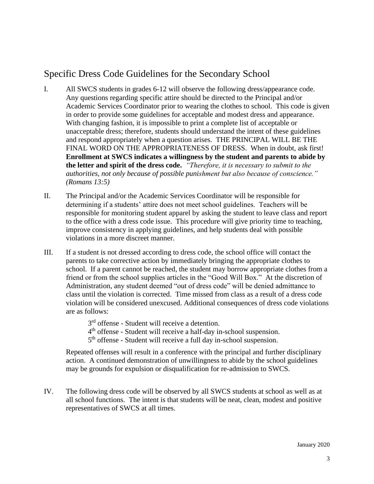### Specific Dress Code Guidelines for the Secondary School

- I. All SWCS students in grades 6-12 will observe the following dress/appearance code. Any questions regarding specific attire should be directed to the Principal and/or Academic Services Coordinator prior to wearing the clothes to school. This code is given in order to provide some guidelines for acceptable and modest dress and appearance. With changing fashion, it is impossible to print a complete list of acceptable or unacceptable dress; therefore, students should understand the intent of these guidelines and respond appropriately when a question arises. THE PRINCIPAL WILL BE THE FINAL WORD ON THE APPROPRIATENESS OF DRESS. When in doubt, ask first! **Enrollment at SWCS indicates a willingness by the student and parents to abide by the letter and spirit of the dress code.** *"Therefore, it is necessary to submit to the authorities, not only because of possible punishment but also because of conscience." (Romans 13:5)*
- II. The Principal and/or the Academic Services Coordinator will be responsible for determining if a students' attire does not meet school guidelines. Teachers will be responsible for monitoring student apparel by asking the student to leave class and report to the office with a dress code issue. This procedure will give priority time to teaching, improve consistency in applying guidelines, and help students deal with possible violations in a more discreet manner.
- III. If a student is not dressed according to dress code, the school office will contact the parents to take corrective action by immediately bringing the appropriate clothes to school. If a parent cannot be reached, the student may borrow appropriate clothes from a friend or from the school supplies articles in the "Good Will Box." At the discretion of Administration, any student deemed "out of dress code" will be denied admittance to class until the violation is corrected. Time missed from class as a result of a dress code violation will be considered unexcused. Additional consequences of dress code violations are as follows:
	- 3<sup>rd</sup> offense Student will receive a detention.
	- 4<sup>th</sup> offense Student will receive a half-day in-school suspension.
	- 5<sup>th</sup> offense Student will receive a full day in-school suspension.

Repeated offenses will result in a conference with the principal and further disciplinary action. A continued demonstration of unwillingness to abide by the school guidelines may be grounds for expulsion or disqualification for re-admission to SWCS.

IV. The following dress code will be observed by all SWCS students at school as well as at all school functions. The intent is that students will be neat, clean, modest and positive representatives of SWCS at all times.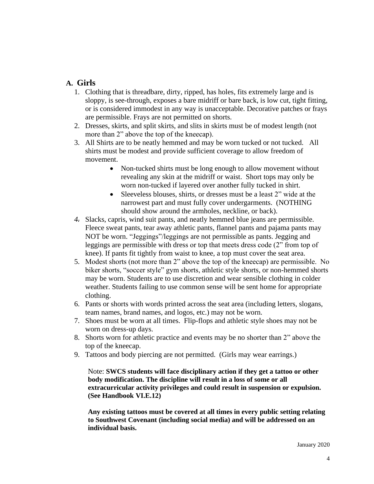#### **A. Girls**

- 1. Clothing that is threadbare, dirty, ripped, has holes, fits extremely large and is sloppy, is see-through, exposes a bare midriff or bare back, is low cut, tight fitting, or is considered immodest in any way is unacceptable. Decorative patches or frays are permissible. Frays are not permitted on shorts.
- 2. Dresses, skirts, and split skirts, and slits in skirts must be of modest length (not more than 2" above the top of the kneecap).
- 3. All Shirts are to be neatly hemmed and may be worn tucked or not tucked. All shirts must be modest and provide sufficient coverage to allow freedom of movement.
	- Non-tucked shirts must be long enough to allow movement without revealing any skin at the midriff or waist. Short tops may only be worn non-tucked if layered over another fully tucked in shirt.
	- Sleeveless blouses, shirts, or dresses must be a least 2" wide at the narrowest part and must fully cover undergarments. (NOTHING should show around the armholes, neckline, or back).
- *4.* Slacks, capris, wind suit pants, and neatly hemmed blue jeans are permissible. Fleece sweat pants, tear away athletic pants, flannel pants and pajama pants may NOT be worn. "Jeggings"/leggings are not permissible as pants. Jegging and leggings are permissible with dress or top that meets dress code (2" from top of knee). If pants fit tightly from waist to knee, a top must cover the seat area.
- 5. Modest shorts (not more than 2" above the top of the kneecap) are permissible. No biker shorts, "soccer style" gym shorts, athletic style shorts, or non-hemmed shorts may be worn. Students are to use discretion and wear sensible clothing in colder weather. Students failing to use common sense will be sent home for appropriate clothing.
- 6. Pants or shorts with words printed across the seat area (including letters, slogans, team names, brand names, and logos, etc.) may not be worn.
- 7. Shoes must be worn at all times. Flip-flops and athletic style shoes may not be worn on dress-up days.
- 8. Shorts worn for athletic practice and events may be no shorter than 2" above the top of the kneecap.
- 9. Tattoos and body piercing are not permitted. (Girls may wear earrings.)

Note: **SWCS students will face disciplinary action if they get a tattoo or other body modification. The discipline will result in a loss of some or all extracurricular activity privileges and could result in suspension or expulsion. (See Handbook VI.E.12)**

**Any existing tattoos must be covered at all times in every public setting relating to Southwest Covenant (including social media) and will be addressed on an individual basis.**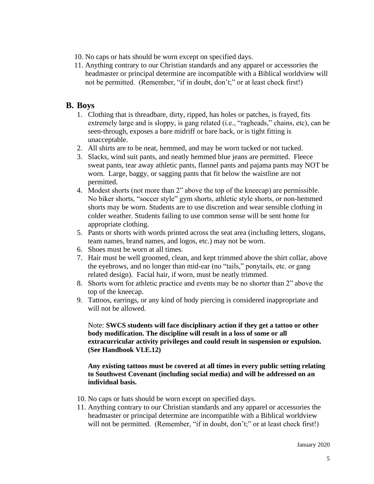- 10. No caps or hats should be worn except on specified days.
- 11. Anything contrary to our Christian standards and any apparel or accessories the headmaster or principal determine are incompatible with a Biblical worldview will not be permitted. (Remember, "if in doubt, don't;" or at least check first!)

#### **B. Boys**

- 1. Clothing that is threadbare, dirty, ripped, has holes or patches, is frayed, fits extremely large and is sloppy, is gang related (i.e., "ragheads," chains, etc), can be seen-through, exposes a bare midriff or bare back, or is tight fitting is unacceptable.
- 2. All shirts are to be neat, hemmed, and may be worn tucked or not tucked.
- 3. Slacks, wind suit pants, and neatly hemmed blue jeans are permitted. Fleece sweat pants, tear away athletic pants, flannel pants and pajama pants may NOT be worn. Large, baggy, or sagging pants that fit below the waistline are not permitted.
- 4. Modest shorts (not more than 2" above the top of the kneecap) are permissible. No biker shorts, "soccer style" gym shorts, athletic style shorts, or non-hemmed shorts may be worn. Students are to use discretion and wear sensible clothing in colder weather. Students failing to use common sense will be sent home for appropriate clothing.
- 5. Pants or shorts with words printed across the seat area (including letters, slogans, team names, brand names, and logos, etc.) may not be worn.
- 6. Shoes must be worn at all times.
- 7. Hair must be well groomed, clean, and kept trimmed above the shirt collar, above the eyebrows, and no longer than mid-ear (no "tails," ponytails, etc. or gang related design). Facial hair, if worn, must be neatly trimmed.
- 8. Shorts worn for athletic practice and events may be no shorter than 2" above the top of the kneecap.
- 9. Tattoos, earrings, or any kind of body piercing is considered inappropriate and will not be allowed.

Note: **SWCS students will face disciplinary action if they get a tattoo or other body modification. The discipline will result in a loss of some or all extracurricular activity privileges and could result in suspension or expulsion. (See Handbook VI.E.12)**

**Any existing tattoos must be covered at all times in every public setting relating to Southwest Covenant (including social media) and will be addressed on an individual basis.**

- 10. No caps or hats should be worn except on specified days.
- 11. Anything contrary to our Christian standards and any apparel or accessories the headmaster or principal determine are incompatible with a Biblical worldview will not be permitted. (Remember, "if in doubt, don't;" or at least check first!)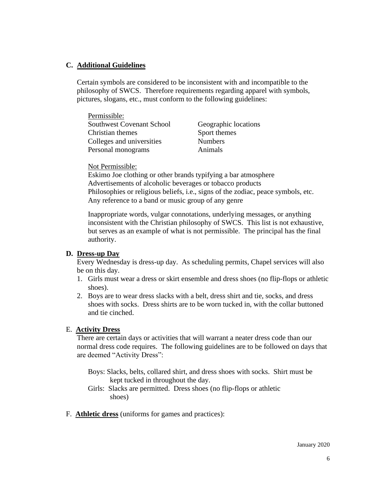#### **C. Additional Guidelines**

Certain symbols are considered to be inconsistent with and incompatible to the philosophy of SWCS. Therefore requirements regarding apparel with symbols, pictures, slogans, etc., must conform to the following guidelines:

| Permissible:                     |                      |
|----------------------------------|----------------------|
| <b>Southwest Covenant School</b> | Geographic locations |
| Christian themes                 | Sport themes         |
| Colleges and universities        | <b>Numbers</b>       |
| Personal monograms               | Animals              |

#### Not Permissible:

Eskimo Joe clothing or other brands typifying a bar atmosphere Advertisements of alcoholic beverages or tobacco products Philosophies or religious beliefs, i.e., signs of the zodiac, peace symbols, etc. Any reference to a band or music group of any genre

Inappropriate words, vulgar connotations, underlying messages, or anything inconsistent with the Christian philosophy of SWCS. This list is not exhaustive, but serves as an example of what is not permissible. The principal has the final authority.

#### **D. Dress-up Day**

Every Wednesday is dress-up day. As scheduling permits, Chapel services will also be on this day.

- 1. Girls must wear a dress or skirt ensemble and dress shoes (no flip-flops or athletic shoes).
- 2. Boys are to wear dress slacks with a belt, dress shirt and tie, socks, and dress shoes with socks. Dress shirts are to be worn tucked in, with the collar buttoned and tie cinched.

#### E. **Activity Dress**

There are certain days or activities that will warrant a neater dress code than our normal dress code requires. The following guidelines are to be followed on days that are deemed "Activity Dress":

- Boys: Slacks, belts, collared shirt, and dress shoes with socks. Shirt must be kept tucked in throughout the day.
- Girls: Slacks are permitted. Dress shoes (no flip-flops or athletic shoes)
- F. **Athletic dress** (uniforms for games and practices):